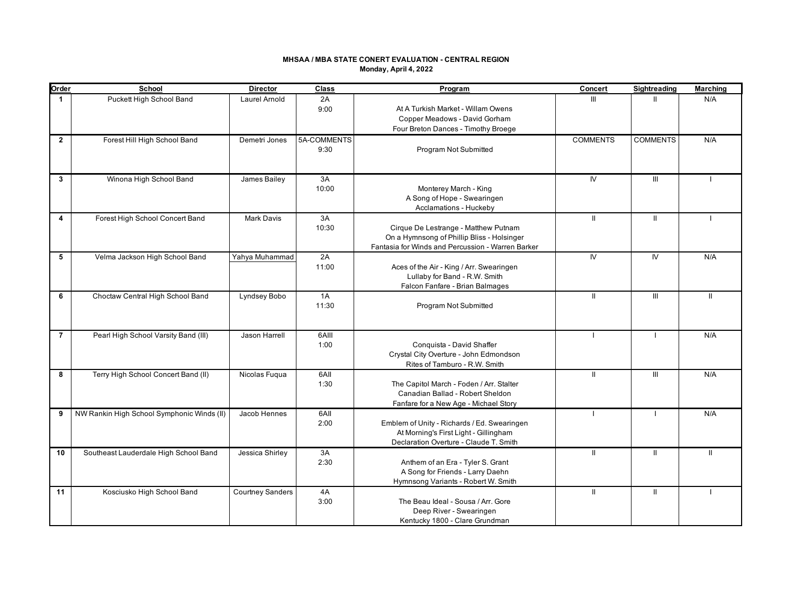### **MHSAA / MBA STATE CONERT EVALUATION - CENTRAL REGION Monday, April 4, 2022**

| Order          | School                                     | <b>Director</b>         | Class               | Program                                                                                                                                 | Concert         | <b>Sightreading</b>              | <b>Marching</b> |
|----------------|--------------------------------------------|-------------------------|---------------------|-----------------------------------------------------------------------------------------------------------------------------------------|-----------------|----------------------------------|-----------------|
| 1              | Puckett High School Band                   | Laurel Arnold           | 2A<br>9:00          | At A Turkish Market - Willam Owens<br>Copper Meadows - David Gorham<br>Four Breton Dances - Timothy Broege                              | Ш               |                                  | N/A             |
| $\overline{2}$ | Forest Hill High School Band               | Demetri Jones           | 5A-COMMENTS<br>9:30 | Program Not Submitted                                                                                                                   | <b>COMMENTS</b> | <b>COMMENTS</b>                  | N/A             |
| 3              | Winona High School Band                    | James Bailey            | 3A<br>10:00         | Monterey March - King<br>A Song of Hope - Swearingen<br>Acclamations - Huckeby                                                          | IV.             | $\mathop{\mathrm{III}}\nolimits$ |                 |
| 4              | Forest High School Concert Band            | <b>Mark Davis</b>       | 3A<br>10:30         | Cirque De Lestrange - Matthew Putnam<br>On a Hymnsong of Phillip Bliss - Holsinger<br>Fantasia for Winds and Percussion - Warren Barker | $\mathbf{H}$    | $\mathbf{H}$                     |                 |
| 5              | Velma Jackson High School Band             | Yahya Muhammad          | 2A<br>11:00         | Aces of the Air - King / Arr. Swearingen<br>Lullaby for Band - R.W. Smith<br>Falcon Fanfare - Brian Balmages                            | IV.             | IV <sub></sub>                   | N/A             |
| 6              | Choctaw Central High School Band           | Lyndsey Bobo            | 1A<br>11:30         | Program Not Submitted                                                                                                                   | Ш               | Ш                                | $\mathbf{I}$    |
| $\overline{7}$ | Pearl High School Varsity Band (III)       | <b>Jason Harrell</b>    | 6AIII<br>1:00       | Conquista - David Shaffer<br>Crystal City Overture - John Edmondson<br>Rites of Tamburo - R.W. Smith                                    | $\blacksquare$  | $\blacksquare$                   | N/A             |
| 8              | Terry High School Concert Band (II)        | Nicolas Fuqua           | 6AII<br>1:30        | The Capitol March - Foden / Arr. Stalter<br>Canadian Ballad - Robert Sheldon<br>Fanfare for a New Age - Michael Story                   | $\mathbf{I}$    | III                              | N/A             |
| 9              | NW Rankin High School Symphonic Winds (II) | Jacob Hennes            | 6AII<br>2:00        | Emblem of Unity - Richards / Ed. Swearingen<br>At Morning's First Light - Gillingham<br>Declaration Overture - Claude T. Smith          | -1              |                                  | N/A             |
| 10             | Southeast Lauderdale High School Band      | Jessica Shirley         | 3A<br>2:30          | Anthem of an Era - Tyler S. Grant<br>A Song for Friends - Larry Daehn<br>Hymnsong Variants - Robert W. Smith                            | Ш               | $\mathbf{H}$                     | $\mathbf{II}$   |
| 11             | Kosciusko High School Band                 | <b>Courtney Sanders</b> | 4A<br>3:00          | The Beau Ideal - Sousa / Arr. Gore<br>Deep River - Swearingen<br>Kentucky 1800 - Clare Grundman                                         | Ш               | Ш                                |                 |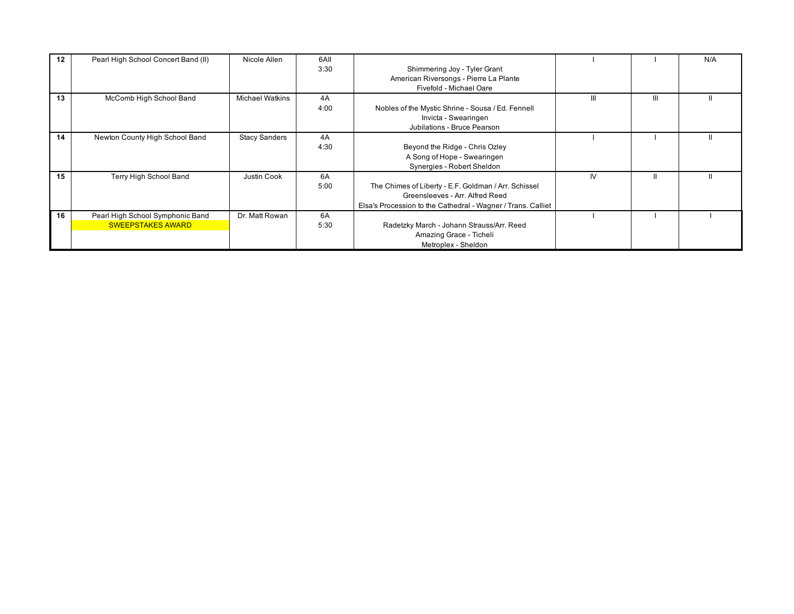| 12 <sup>12</sup> | Pearl High School Concert Band (II)                          | Nicole Allen           | 6AII<br>3:30 | Shimmering Joy - Tyler Grant<br>American Riversongs - Pierre La Plante<br>Fivefold - Michael Oare                                                       |    |   | N/A |
|------------------|--------------------------------------------------------------|------------------------|--------------|---------------------------------------------------------------------------------------------------------------------------------------------------------|----|---|-----|
| 13               | McComb High School Band                                      | <b>Michael Watkins</b> | 4A<br>4:00   | Nobles of the Mystic Shrine - Sousa / Ed. Fennell<br>Invicta - Swearingen<br>Jubilations - Bruce Pearson                                                | Ш  | Ш |     |
| 14               | Newton County High School Band                               | <b>Stacy Sanders</b>   | 4A<br>4:30   | Beyond the Ridge - Chris Ozley<br>A Song of Hope - Swearingen<br>Synergies - Robert Sheldon                                                             |    |   |     |
| 15               | Terry High School Band                                       | Justin Cook            | 6A<br>5:00   | The Chimes of Liberty - E.F. Goldman / Arr. Schissel<br>Greensleeves - Arr. Alfred Reed<br>Elsa's Procession to the Cathedral - Wagner / Trans. Calliet | IV |   |     |
| 16               | Pearl High School Symphonic Band<br><b>SWEEPSTAKES AWARD</b> | Dr. Matt Rowan         | 6A<br>5:30   | Radetzky March - Johann Strauss/Arr. Reed<br>Amazing Grace - Ticheli<br>Metroplex - Sheldon                                                             |    |   |     |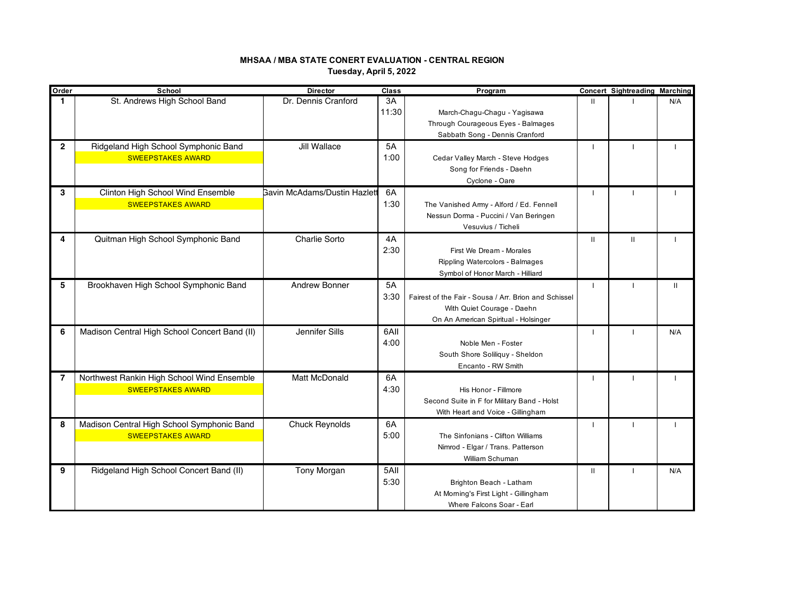## **MHSAA / MBA STATE CONERT EVALUATION - CENTRAL REGION Tuesday, April 5, 2022**

| Order          | School                                                                 | <b>Director</b>                     | Class | Program                                               |                | <b>Concert Sightreading Marching</b> |                |
|----------------|------------------------------------------------------------------------|-------------------------------------|-------|-------------------------------------------------------|----------------|--------------------------------------|----------------|
| 1              | St. Andrews High School Band                                           | Dr. Dennis Cranford                 | 3A    |                                                       | $\mathbf{H}$   |                                      | N/A            |
|                |                                                                        |                                     | 11:30 | March-Chagu-Chagu - Yagisawa                          |                |                                      |                |
|                |                                                                        |                                     |       | Through Courageous Eyes - Balmages                    |                |                                      |                |
|                |                                                                        |                                     |       | Sabbath Song - Dennis Cranford                        |                |                                      |                |
| $\overline{2}$ | Ridgeland High School Symphonic Band                                   | Jill Wallace                        | 5A    |                                                       | -1             |                                      |                |
|                | <b>SWEEPSTAKES AWARD</b>                                               |                                     | 1:00  | Cedar Valley March - Steve Hodges                     |                |                                      |                |
|                |                                                                        |                                     |       | Song for Friends - Daehn                              |                |                                      |                |
|                |                                                                        |                                     |       | Cyclone - Oare                                        |                |                                      |                |
| 3              | Clinton High School Wind Ensemble                                      | <b>Bavin McAdams/Dustin Hazlett</b> | 6A    |                                                       | $\blacksquare$ |                                      |                |
|                | <b>SWEEPSTAKES AWARD</b>                                               |                                     | 1:30  | The Vanished Army - Alford / Ed. Fennell              |                |                                      |                |
|                |                                                                        |                                     |       | Nessun Dorma - Puccini / Van Beringen                 |                |                                      |                |
|                |                                                                        |                                     |       | Vesuvius / Ticheli                                    |                |                                      |                |
| 4              | Quitman High School Symphonic Band                                     | Charlie Sorto                       | 4A    |                                                       | Ш              | $\mathbf{H}$                         |                |
|                |                                                                        |                                     | 2:30  | First We Dream - Morales                              |                |                                      |                |
|                |                                                                        |                                     |       | Rippling Watercolors - Balmages                       |                |                                      |                |
|                |                                                                        |                                     |       | Symbol of Honor March - Hilliard                      |                |                                      |                |
| 5              | Brookhaven High School Symphonic Band                                  | <b>Andrew Bonner</b>                | 5A    |                                                       | -1             |                                      | $\mathbf{H}$   |
|                |                                                                        |                                     | 3:30  | Fairest of the Fair - Sousa / Arr. Brion and Schissel |                |                                      |                |
|                |                                                                        |                                     |       | With Quiet Courage - Daehn                            |                |                                      |                |
|                |                                                                        |                                     |       | On An American Spiritual - Holsinger                  |                |                                      |                |
| 6              | Madison Central High School Concert Band (II)                          | Jennifer Sills                      | 6All  |                                                       | $\mathbf{I}$   | $\overline{1}$                       | N/A            |
|                |                                                                        |                                     | 4:00  | Noble Men - Foster                                    |                |                                      |                |
|                |                                                                        |                                     |       | South Shore Soliliquy - Sheldon                       |                |                                      |                |
|                |                                                                        |                                     |       | Encanto - RW Smith                                    |                |                                      |                |
| 7              |                                                                        | <b>Matt McDonald</b>                | 6A    |                                                       | $\mathbf{I}$   | $\blacksquare$                       | $\blacksquare$ |
|                | Northwest Rankin High School Wind Ensemble<br><b>SWEEPSTAKES AWARD</b> |                                     | 4:30  | His Honor - Fillmore                                  |                |                                      |                |
|                |                                                                        |                                     |       |                                                       |                |                                      |                |
|                |                                                                        |                                     |       | Second Suite in F for Military Band - Holst           |                |                                      |                |
|                |                                                                        |                                     |       | With Heart and Voice - Gillingham                     |                |                                      |                |
| 8              | Madison Central High School Symphonic Band                             | <b>Chuck Reynolds</b>               | 6A    |                                                       |                |                                      |                |
|                | <b>SWEEPSTAKES AWARD</b>                                               |                                     | 5:00  | The Sinfonians - Clifton Williams                     |                |                                      |                |
|                |                                                                        |                                     |       | Nimrod - Elgar / Trans. Patterson                     |                |                                      |                |
|                |                                                                        |                                     |       | William Schuman                                       |                |                                      |                |
| 9              | Ridgeland High School Concert Band (II)                                | Tony Morgan                         | 5All  |                                                       | $\mathbf{H}$   | - I                                  | N/A            |
|                |                                                                        |                                     | 5:30  | Brighton Beach - Latham                               |                |                                      |                |
|                |                                                                        |                                     |       | At Morning's First Light - Gillingham                 |                |                                      |                |
|                |                                                                        |                                     |       | Where Falcons Soar - Earl                             |                |                                      |                |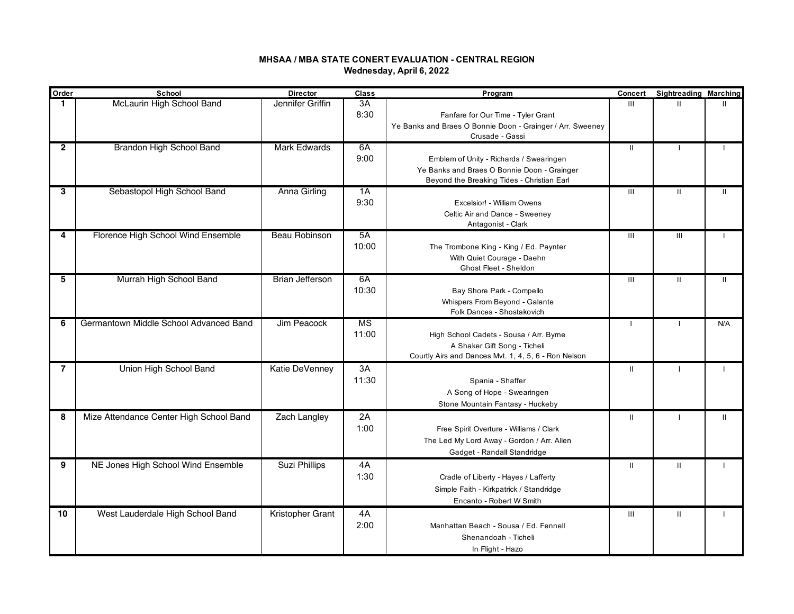## **MHSAA / MBA STATE CONERT EVALUATION - CENTRAL REGION Wednesday, April 6, 2022**

| Order          | School                                  | <b>Director</b>        | Class                    | Program                                                                                                                              | Concert        | <b>Sightreading Marching</b> |              |
|----------------|-----------------------------------------|------------------------|--------------------------|--------------------------------------------------------------------------------------------------------------------------------------|----------------|------------------------------|--------------|
|                | McLaurin High School Band               | Jennifer Griffin       | 3A<br>8:30               | Fanfare for Our Time - Tyler Grant<br>Ye Banks and Braes O Bonnie Doon - Grainger / Arr. Sweeney<br>Crusade - Gassi                  | III            | $\mathbf{H}$                 | ш            |
| $\overline{2}$ | Brandon High School Band                | <b>Mark Edwards</b>    | 6A<br>9:00               | Emblem of Unity - Richards / Swearingen<br>Ye Banks and Braes O Bonnie Doon - Grainger<br>Beyond the Breaking Tides - Christian Earl | $\mathbf{II}$  | $\mathbf{I}$                 |              |
| 3              | Sebastopol High School Band             | Anna Girling           | 1A<br>9:30               | Excelsior! - William Owens<br>Celtic Air and Dance - Sweeney<br>Antagonist - Clark                                                   | $\mathbf{III}$ | $\mathbf{H}$                 | $\mathbf{H}$ |
| 4              | Florence High School Wind Ensemble      | <b>Beau Robinson</b>   | $5\overline{A}$<br>10:00 | The Trombone King - King / Ed. Paynter<br>With Quiet Courage - Daehn<br>Ghost Fleet - Sheldon                                        | III            | $\mathbf{III}$               |              |
| 5              | Murrah High School Band                 | <b>Brian Jefferson</b> | 6A<br>10:30              | Bay Shore Park - Compello<br>Whispers From Beyond - Galante<br>Folk Dances - Shostakovich                                            | III            | $\mathbf{II}$                | $\mathbf{H}$ |
| 6              | Germantown Middle School Advanced Band  | Jim Peacock            | <b>MS</b><br>11:00       | High School Cadets - Sousa / Arr. Byrne<br>A Shaker Gift Song - Ticheli<br>Courtly Airs and Dances Mvt. 1, 4, 5, 6 - Ron Nelson      | $\mathbf{I}$   | $\mathbf{I}$                 | N/A          |
| $\overline{7}$ | Union High School Band                  | Katie DeVenney         | 3A<br>11:30              | Spania - Shaffer<br>A Song of Hope - Swearingen<br>Stone Mountain Fantasy - Huckeby                                                  | $\mathbf{II}$  |                              |              |
| 8              | Mize Attendance Center High School Band | Zach Langley           | 2A<br>1:00               | Free Spirit Overture - Williams / Clark<br>The Led My Lord Away - Gordon / Arr. Allen<br>Gadget - Randall Standridge                 | $\mathbf{II}$  |                              | $\mathbf{H}$ |
| 9              | NE Jones High School Wind Ensemble      | Suzi Phillips          | 4A<br>1:30               | Cradle of Liberty - Hayes / Lafferty<br>Simple Faith - Kirkpatrick / Standridge<br>Encanto - Robert W Smith                          | $\mathbf{II}$  | $\mathbf{II}$                |              |
| 10             | West Lauderdale High School Band        | Kristopher Grant       | 4A<br>2:00               | Manhattan Beach - Sousa / Ed. Fennell<br>Shenandoah - Ticheli<br>In Flight - Hazo                                                    | Ш              | $\mathbf{H}$                 |              |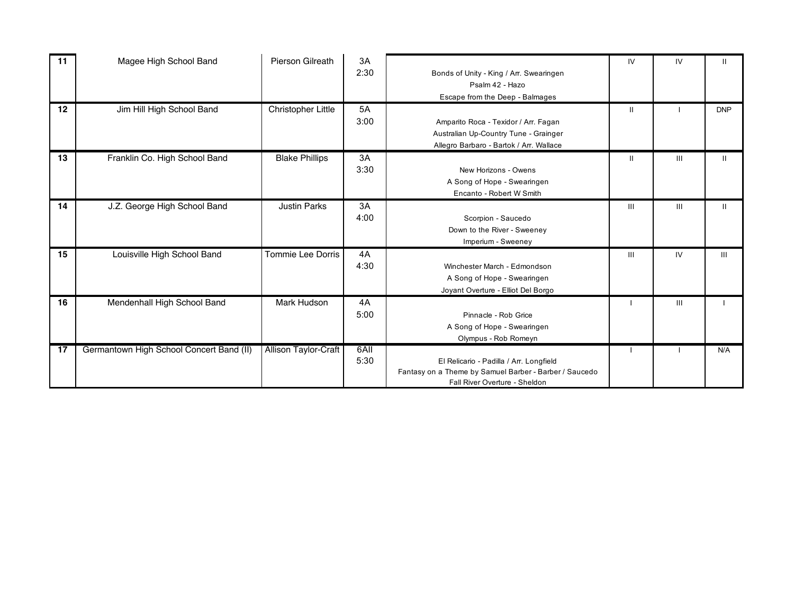| 11 | Magee High School Band                   | Pierson Gilreath            | 3A<br>2:30   | Bonds of Unity - King / Arr. Swearingen<br>Psalm 42 - Hazo<br>Escape from the Deep - Balmages                                      | IV             | IV             | $\mathbf{H}$ |
|----|------------------------------------------|-----------------------------|--------------|------------------------------------------------------------------------------------------------------------------------------------|----------------|----------------|--------------|
| 12 | Jim Hill High School Band                | Christopher Little          | 5A<br>3:00   | Amparito Roca - Texidor / Arr. Fagan<br>Australian Up-Country Tune - Grainger<br>Allegro Barbaro - Bartok / Arr. Wallace           | $\mathbf{I}$   |                | <b>DNP</b>   |
| 13 | Franklin Co. High School Band            | <b>Blake Phillips</b>       | 3A<br>3:30   | New Horizons - Owens<br>A Song of Hope - Swearingen<br>Encanto - Robert W Smith                                                    | Ш              | Ш              | Ш.           |
| 14 | J.Z. George High School Band             | <b>Justin Parks</b>         | 3A<br>4:00   | Scorpion - Saucedo<br>Down to the River - Sweeney<br>Imperium - Sweeney                                                            | $\mathbf{III}$ | $\mathbf{III}$ | $\mathbf{H}$ |
| 15 | Louisville High School Band              | Tommie Lee Dorris           | 4A<br>4:30   | Winchester March - Edmondson<br>A Song of Hope - Swearingen<br>Joyant Overture - Elliot Del Borgo                                  | $\mathbf{III}$ | IV             | III          |
| 16 | Mendenhall High School Band              | Mark Hudson                 | 4A<br>5:00   | Pinnacle - Rob Grice<br>A Song of Hope - Swearingen<br>Olympus - Rob Romeyn                                                        |                | III            |              |
| 17 | Germantown High School Concert Band (II) | <b>Allison Taylor-Craft</b> | 6All<br>5:30 | El Relicario - Padilla / Arr. Longfield<br>Fantasy on a Theme by Samuel Barber - Barber / Saucedo<br>Fall River Overture - Sheldon |                |                | N/A          |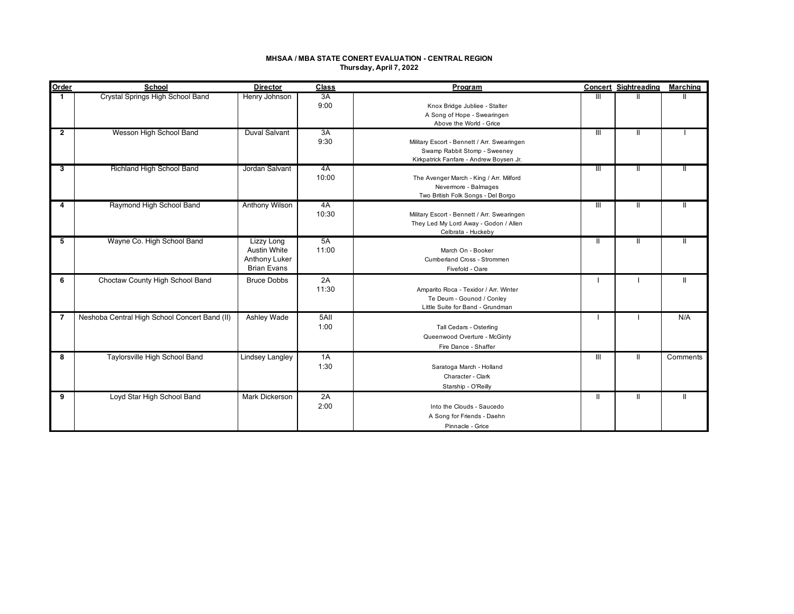### **MHSAA / MBA STATE CONERT EVALUATION - CENTRAL REGION Thursday, April 7, 2022**

| Order          | School                                        | <b>Director</b>                                                                 | Class        | Program                                                                                                                |                | <b>Concert Sightreading</b> | <b>Marching</b> |
|----------------|-----------------------------------------------|---------------------------------------------------------------------------------|--------------|------------------------------------------------------------------------------------------------------------------------|----------------|-----------------------------|-----------------|
|                | Crystal Springs High School Band              | Henry Johnson                                                                   | 3A<br>9:00   | Knox Bridge Jubliee - Stalter<br>A Song of Hope - Swearingen<br>Above the World - Grice                                | Ш              |                             |                 |
| $\overline{2}$ | Wesson High School Band                       | Duval Salvant                                                                   | 3A<br>9:30   | Military Escort - Bennett / Arr. Swearingen<br>Swamp Rabbit Stomp - Sweeney<br>Kirkpatrick Fanfare - Andrew Boysen Jr. | Ш              | Ш                           |                 |
| 3              | Richland High School Band                     | Jordan Salvant                                                                  | 4A<br>10:00  | The Avenger March - King / Arr. Milford<br>Nevermore - Balmages<br>Two British Folk Songs - Del Borgo                  | $\mathbf{III}$ |                             |                 |
| 4              | Raymond High School Band                      | Anthony Wilson                                                                  | 4A<br>10:30  | Military Escort - Bennett / Arr. Swearingen<br>They Led My Lord Away - Godon / Allen<br>Celbrata - Huckeby             | $\mathbf{III}$ | Ш                           | Ш               |
| 5              | Wayne Co. High School Band                    | Lizzy Long<br><b>Austin White</b><br><b>Anthony Luker</b><br><b>Brian Evans</b> | 5A<br>11:00  | March On - Booker<br>Cumberland Cross - Strommen<br>Fivefold - Oare                                                    | $\mathbf{H}$   | Ш                           | Ш               |
| 6              | Choctaw County High School Band               | <b>Bruce Dobbs</b>                                                              | 2A<br>11:30  | Amparito Roca - Texidor / Arr. Winter<br>Te Deum - Gounod / Conley<br>Little Suite for Band - Grundman                 |                |                             | Ш               |
| $\overline{7}$ | Neshoba Central High School Concert Band (II) | Ashley Wade                                                                     | 5All<br>1:00 | Tall Cedars - Osterling<br>Queenwood Overture - McGinty<br>Fire Dance - Shaffer                                        |                |                             | N/A             |
| 8              | Taylorsville High School Band                 | <b>Lindsey Langley</b>                                                          | 1A<br>1:30   | Saratoga March - Holland<br>Character - Clark<br>Starship - O'Reilly                                                   | III            | Ш                           | Comments        |
| 9              | Loyd Star High School Band                    | Mark Dickerson                                                                  | 2A<br>2:00   | Into the Clouds - Saucedo<br>A Song for Friends - Daehn<br>Pinnacle - Grice                                            | Ш              | Ш                           | Ш               |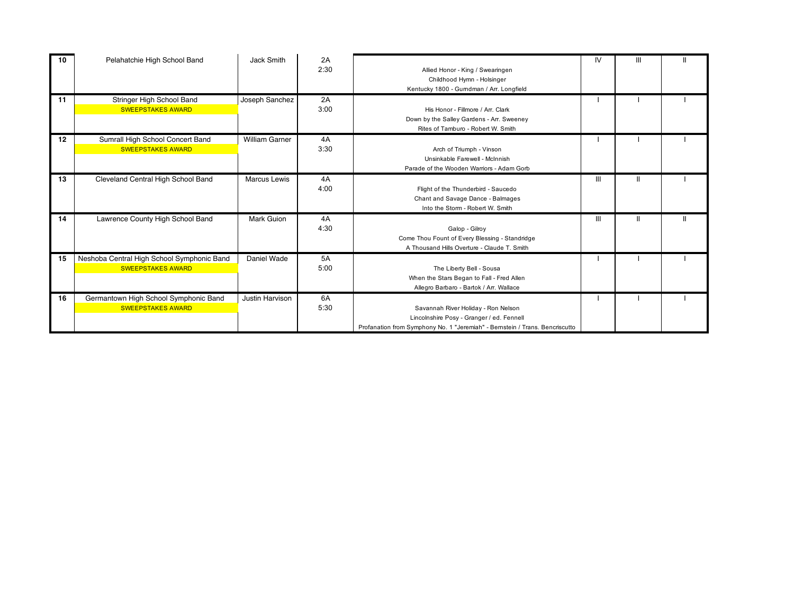| 10 | Pelahatchie High School Band                                           | Jack Smith            | 2A<br>2:30 | Allied Honor - King / Swearingen<br>Childhood Hymn - Holsinger<br>Kentucky 1800 - Gurndman / Arr. Longfield                                                      | IV. | Ш | $\mathbf{I}$ |
|----|------------------------------------------------------------------------|-----------------------|------------|------------------------------------------------------------------------------------------------------------------------------------------------------------------|-----|---|--------------|
| 11 | Stringer High School Band<br><b>SWEEPSTAKES AWARD</b>                  | Joseph Sanchez        | 2A<br>3:00 | His Honor - Fillmore / Arr. Clark<br>Down by the Salley Gardens - Arr. Sweeney<br>Rites of Tamburo - Robert W. Smith                                             |     |   |              |
| 12 | Sumrall High School Concert Band<br><b>SWEEPSTAKES AWARD</b>           | <b>William Garner</b> | 4A<br>3:30 | Arch of Triumph - Vinson<br>Unsinkable Farewell - McInnish<br>Parade of the Wooden Warriors - Adam Gorb                                                          |     |   |              |
| 13 | Cleveland Central High School Band                                     | <b>Marcus Lewis</b>   | 4A<br>4:00 | Flight of the Thunderbird - Saucedo<br>Chant and Savage Dance - Balmages<br>Into the Storm - Robert W. Smith                                                     | Ш   |   |              |
| 14 | Lawrence County High School Band                                       | Mark Guion            | 4A<br>4:30 | Galop - Gilroy<br>Come Thou Fount of Every Blessing - Standridge<br>A Thousand Hills Overture - Claude T. Smith                                                  | Ш   | Ш | $\mathbf{H}$ |
| 15 | Neshoba Central High School Symphonic Band<br><b>SWEEPSTAKES AWARD</b> | Daniel Wade           | 5A<br>5:00 | The Liberty Bell - Sousa<br>When the Stars Began to Fall - Fred Allen<br>Allegro Barbaro - Bartok / Arr. Wallace                                                 |     |   |              |
| 16 | Germantown High School Symphonic Band<br><b>SWEEPSTAKES AWARD</b>      | Justin Harvison       | 6A<br>5:30 | Savannah River Holiday - Ron Nelson<br>Lincolnshire Posy - Granger / ed. Fennell<br>Profanation from Symphony No. 1 "Jeremiah" - Bernstein / Trans. Bencriscutto |     |   |              |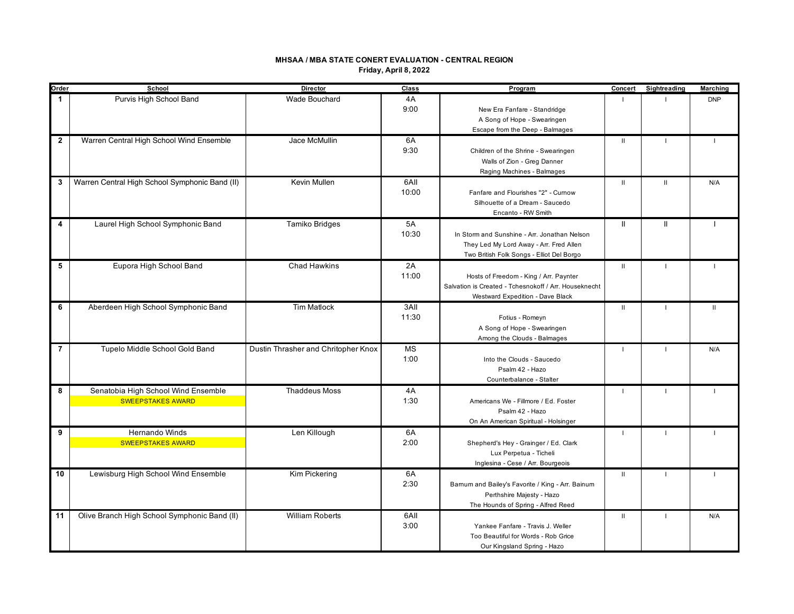## **MHSAA / MBA STATE CONERT EVALUATION - CENTRAL REGION Friday, April 8, 2022**

| Order          | School                                         | Director                            | Class | Program                                               | Concert        | Sightreading             | <b>Marching</b> |
|----------------|------------------------------------------------|-------------------------------------|-------|-------------------------------------------------------|----------------|--------------------------|-----------------|
| $\mathbf{1}$   | Purvis High School Band                        | <b>Wade Bouchard</b>                | 4A    |                                                       |                |                          | <b>DNP</b>      |
|                |                                                |                                     | 9:00  | New Era Fanfare - Standridge                          |                |                          |                 |
|                |                                                |                                     |       | A Song of Hope - Swearingen                           |                |                          |                 |
|                |                                                |                                     |       | Escape from the Deep - Balmages                       |                |                          |                 |
| $\overline{2}$ | Warren Central High School Wind Ensemble       | Jace McMullin                       | 6A    |                                                       | $\mathbf{II}$  |                          |                 |
|                |                                                |                                     | 9:30  | Children of the Shrine - Swearingen                   |                |                          |                 |
|                |                                                |                                     |       | Walls of Zion - Greg Danner                           |                |                          |                 |
|                |                                                |                                     |       | Raging Machines - Balmages                            |                |                          |                 |
| 3              | Warren Central High School Symphonic Band (II) | Kevin Mullen                        | 6AII  |                                                       |                | $\mathbf{H}$             |                 |
|                |                                                |                                     | 10:00 |                                                       | $\mathbf{II}$  |                          | N/A             |
|                |                                                |                                     |       | Fanfare and Flourishes "2" - Curnow                   |                |                          |                 |
|                |                                                |                                     |       | Silhouette of a Dream - Saucedo                       |                |                          |                 |
|                |                                                |                                     |       | Encanto - RW Smith                                    |                |                          |                 |
| 4              | Laurel High School Symphonic Band              | Tamiko Bridges                      | 5A    |                                                       | $\mathbf{II}$  | $\mathbf{I}$             |                 |
|                |                                                |                                     | 10:30 | In Storm and Sunshine - Arr. Jonathan Nelson          |                |                          |                 |
|                |                                                |                                     |       | They Led My Lord Away - Arr. Fred Allen               |                |                          |                 |
|                |                                                |                                     |       | Two British Folk Songs - Elliot Del Borgo             |                |                          |                 |
| 5              | Eupora High School Band                        | <b>Chad Hawkins</b>                 | 2A    |                                                       | $\mathbf{II}$  |                          |                 |
|                |                                                |                                     | 11:00 | Hosts of Freedom - King / Arr. Paynter                |                |                          |                 |
|                |                                                |                                     |       | Salvation is Created - Tchesnokoff / Arr. Houseknecht |                |                          |                 |
|                |                                                |                                     |       | Westward Expedition - Dave Black                      |                |                          |                 |
| 6              | Aberdeen High School Symphonic Band            | <b>Tim Matlock</b>                  | 3AII  |                                                       | $\mathbf{II}$  | $\overline{\phantom{a}}$ | $\mathbf{II}$   |
|                |                                                |                                     | 11:30 | Fotius - Romeyn                                       |                |                          |                 |
|                |                                                |                                     |       | A Song of Hope - Swearingen                           |                |                          |                 |
|                |                                                |                                     |       | Among the Clouds - Balmages                           |                |                          |                 |
| $\overline{7}$ | Tupelo Middle School Gold Band                 | Dustin Thrasher and Chritopher Knox | MS    |                                                       | $\blacksquare$ |                          | N/A             |
|                |                                                |                                     | 1:00  | Into the Clouds - Saucedo                             |                |                          |                 |
|                |                                                |                                     |       |                                                       |                |                          |                 |
|                |                                                |                                     |       | Psalm 42 - Hazo                                       |                |                          |                 |
|                |                                                |                                     |       | Counterbalance - Stalter                              |                |                          |                 |
| 8              | Senatobia High School Wind Ensemble            | <b>Thaddeus Moss</b>                | 4A    |                                                       | п              |                          |                 |
|                | <b>SWEEPSTAKES AWARD</b>                       |                                     | 1:30  | Americans We - Fillmore / Ed. Foster                  |                |                          |                 |
|                |                                                |                                     |       | Psalm 42 - Hazo                                       |                |                          |                 |
|                |                                                |                                     |       | On An American Spiritual - Holsinger                  |                |                          |                 |
| 9              | Hernando Winds                                 | Len Killough                        | 6A    |                                                       | $\blacksquare$ |                          |                 |
|                | <b>SWEEPSTAKES AWARD</b>                       |                                     | 2:00  | Shepherd's Hey - Grainger / Ed. Clark                 |                |                          |                 |
|                |                                                |                                     |       | Lux Perpetua - Ticheli                                |                |                          |                 |
|                |                                                |                                     |       | Inglesina - Cese / Arr. Bourgeois                     |                |                          |                 |
| 10             | Lewisburg High School Wind Ensemble            | Kim Pickering                       | 6A    |                                                       | $\mathbf{II}$  |                          |                 |
|                |                                                |                                     | 2:30  | Barnum and Bailey's Favorite / King - Arr. Bainum     |                |                          |                 |
|                |                                                |                                     |       | Perthshire Majesty - Hazo                             |                |                          |                 |
|                |                                                |                                     |       | The Hounds of Spring - Alfred Reed                    |                |                          |                 |
| 11             | Olive Branch High School Symphonic Band (II)   | <b>William Roberts</b>              | 6All  |                                                       | $\mathbf{II}$  |                          | N/A             |
|                |                                                |                                     | 3:00  | Yankee Fanfare - Travis J. Weller                     |                |                          |                 |
|                |                                                |                                     |       | Too Beautiful for Words - Rob Grice                   |                |                          |                 |
|                |                                                |                                     |       |                                                       |                |                          |                 |
|                |                                                |                                     |       | Our Kingsland Spring - Hazo                           |                |                          |                 |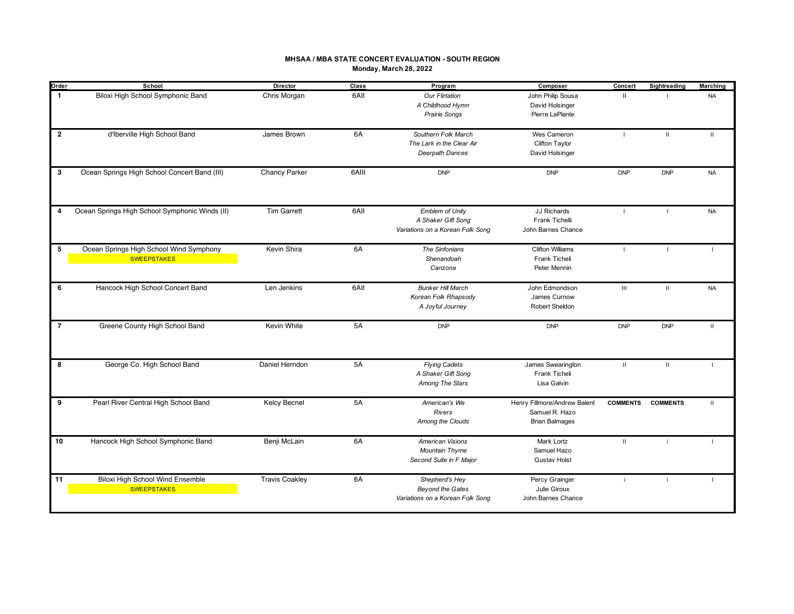### **MHSAA / MBA STATE CONCERT EVALUATION - SOUTH REGION Monday, March 28, 2022**

| Order          | School                                         | Director              | Class | Program                          | Composer                     | Concert         | Sightreading    | <b>Marching</b> |
|----------------|------------------------------------------------|-----------------------|-------|----------------------------------|------------------------------|-----------------|-----------------|-----------------|
| $\mathbf{1}$   | Biloxi High School Symphonic Band              | Chris Morgan          | 6AII  | <b>Our Flirtation</b>            | John Philip Sousa            | $\mathbf{II}$   |                 | <b>NA</b>       |
|                |                                                |                       |       | A Childhood Hymn                 | David Holsinger              |                 |                 |                 |
|                |                                                |                       |       | Prairie Songs                    | Pierre LaPlante              |                 |                 |                 |
|                |                                                |                       |       |                                  |                              |                 |                 |                 |
| $\overline{2}$ | d'Iberville High School Band                   | James Brown           | 6A    | Southern Folk March              | Wes Cameron                  | $\mathbf{L}$    | $\mathbf{H}$    | $\mathbf{H}$    |
|                |                                                |                       |       | The Lark in the Clear Air        | Clifton Taylor               |                 |                 |                 |
|                |                                                |                       |       | Deerpath Dances                  | David Holsinger              |                 |                 |                 |
|                |                                                |                       |       |                                  |                              |                 |                 |                 |
| 3              | Ocean Springs High School Concert Band (III)   | Chancy Parker         | 6AIII | <b>DNP</b>                       | <b>DNP</b>                   | <b>DNP</b>      | <b>DNP</b>      | <b>NA</b>       |
|                |                                                |                       |       |                                  |                              |                 |                 |                 |
|                |                                                |                       |       |                                  |                              |                 |                 |                 |
|                |                                                |                       |       |                                  |                              |                 |                 |                 |
| 4              | Ocean Springs High School Symphonic Winds (II) | <b>Tim Garrett</b>    | 6AII  | Emblem of Unity                  | JJ Richards                  | $\blacksquare$  | $\mathbf{I}$    | <b>NA</b>       |
|                |                                                |                       |       | A Shaker Gift Song               | Frank Tichelli               |                 |                 |                 |
|                |                                                |                       |       | Variations on a Korean Folk Song | John Barnes Chance           |                 |                 |                 |
|                |                                                |                       |       |                                  |                              |                 |                 |                 |
| 5              | Ocean Springs High School Wind Symphony        | Kevin Shira           | 6A    | The Sinfonians                   | <b>Clifton Williams</b>      | $\mathbf{I}$    | L.              | п.              |
|                | <b>SWEEPSTAKES</b>                             |                       |       | Shenandoah                       | Frank Ticheli                |                 |                 |                 |
|                |                                                |                       |       | Canzona                          | Peter Mennin                 |                 |                 |                 |
|                |                                                |                       |       |                                  |                              |                 |                 |                 |
| 6              | Hancock High School Concert Band               | Len Jenkins           | 6AII  | <b>Bunker Hill March</b>         | John Edmondson               | $\mathbf{III}$  | $\mathbf{H}$    | <b>NA</b>       |
|                |                                                |                       |       | Korean Folk Rhapsody             | James Curnow                 |                 |                 |                 |
|                |                                                |                       |       | A Joyful Journey                 | Robert Sheldon               |                 |                 |                 |
|                |                                                |                       |       |                                  |                              |                 |                 |                 |
| $\overline{7}$ | Greene County High School Band                 | Kevin White           | 5A    | <b>DNP</b>                       | <b>DNP</b>                   | <b>DNP</b>      | <b>DNP</b>      | $\mathbf{H}$    |
|                |                                                |                       |       |                                  |                              |                 |                 |                 |
|                |                                                |                       |       |                                  |                              |                 |                 |                 |
|                |                                                |                       |       |                                  |                              |                 |                 |                 |
| 8              | George Co. High School Band                    | Daniel Herndon        | 5A    | <b>Flying Cadets</b>             | James Swearington            | $\mathbf{H}$    | $\mathbf{II}$   |                 |
|                |                                                |                       |       | A Shaker Gift Song               | Frank Ticheli                |                 |                 |                 |
|                |                                                |                       |       | Among The Stars                  | Lisa Galvin                  |                 |                 |                 |
|                |                                                |                       |       |                                  |                              |                 |                 |                 |
| 9              | Pearl River Central High School Band           | <b>Kelcy Becnel</b>   | 5A    | American's We                    | Henry Fillmore/Andrew Balent | <b>COMMENTS</b> | <b>COMMENTS</b> | $\mathbf{H}$    |
|                |                                                |                       |       | <b>Rivers</b>                    | Samuel R. Hazo               |                 |                 |                 |
|                |                                                |                       |       | Among the Clouds                 | <b>Brian Balmages</b>        |                 |                 |                 |
|                |                                                |                       |       |                                  |                              |                 |                 |                 |
| 10             | Hancock High School Symphonic Band             | Benji McLain          | 6A    | American Visions                 | Mark Lortz                   | $\mathbf{H}$    | j.              |                 |
|                |                                                |                       |       | Mountain Thyme                   | Samuel Hazo                  |                 |                 |                 |
|                |                                                |                       |       | Second Suite in F Major          | <b>Gustav Holst</b>          |                 |                 |                 |
|                |                                                |                       |       |                                  |                              |                 |                 |                 |
| 11             | Biloxi High School Wind Ensemble               | <b>Travis Coakley</b> | 6A    | Shepherd's Hey                   | Percy Grainger               | j.              | j.              |                 |
|                | <b>SWEEPSTAKES</b>                             |                       |       | <b>Beyond the Gates</b>          | Julie Giroux                 |                 |                 |                 |
|                |                                                |                       |       | Variations on a Korean Folk Song | John Barnes Chance           |                 |                 |                 |
|                |                                                |                       |       |                                  |                              |                 |                 |                 |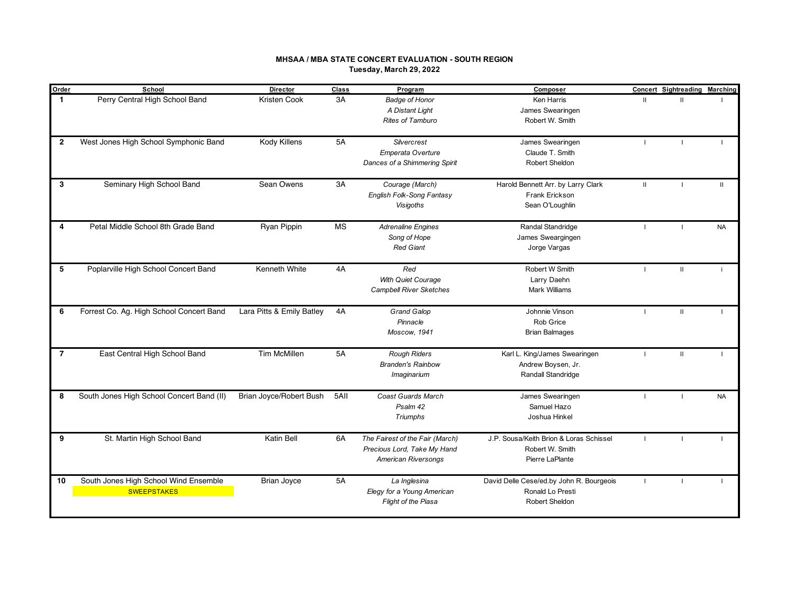### **MHSAA / MBA STATE CONCERT EVALUATION - SOUTH REGION Tuesday, March 29, 2022**

| Order          | School                                    | <b>Director</b>           | Class     | Program                         | Composer                                 |               | <b>Concert Sightreading Marching</b> |              |
|----------------|-------------------------------------------|---------------------------|-----------|---------------------------------|------------------------------------------|---------------|--------------------------------------|--------------|
| $\mathbf{1}$   | Perry Central High School Band            | Kristen Cook              | 3A        | <b>Badge of Honor</b>           | Ken Harris                               | $\mathbf{II}$ | $\mathbf{H}$                         |              |
|                |                                           |                           |           | A Distant Light                 | James Swearingen                         |               |                                      |              |
|                |                                           |                           |           | Rites of Tamburo                | Robert W. Smith                          |               |                                      |              |
|                |                                           |                           |           |                                 |                                          |               |                                      |              |
| $\overline{2}$ | West Jones High School Symphonic Band     | Kody Killens              | 5A        | Silvercrest                     | James Swearingen                         |               |                                      |              |
|                |                                           |                           |           | Emperata Overture               | Claude T. Smith                          |               |                                      |              |
|                |                                           |                           |           | Dances of a Shimmering Spirit   | Robert Sheldon                           |               |                                      |              |
|                |                                           |                           |           |                                 |                                          |               |                                      |              |
| 3              | Seminary High School Band                 | Sean Owens                | 3A        | Courage (March)                 | Harold Bennett Arr. by Larry Clark       | $\mathbf{II}$ |                                      | $\mathbf{H}$ |
|                |                                           |                           |           | English Folk-Song Fantasy       | Frank Erickson                           |               |                                      |              |
|                |                                           |                           |           | <b>Visigoths</b>                | Sean O'Loughlin                          |               |                                      |              |
|                |                                           |                           |           |                                 |                                          |               |                                      |              |
| 4              | Petal Middle School 8th Grade Band        | Ryan Pippin               | <b>MS</b> | <b>Adrenaline Engines</b>       | Randal Standridge                        |               |                                      | <b>NA</b>    |
|                |                                           |                           |           | Song of Hope                    | James Sweargingen                        |               |                                      |              |
|                |                                           |                           |           | <b>Red Giant</b>                | Jorge Vargas                             |               |                                      |              |
|                |                                           |                           |           |                                 |                                          |               |                                      |              |
| 5              | Poplarville High School Concert Band      | Kenneth White             | 4A        | Red                             | Robert W Smith                           |               | $\mathbf{II}$                        |              |
|                |                                           |                           |           | With Quiet Courage              | Larry Daehn                              |               |                                      |              |
|                |                                           |                           |           | <b>Campbell River Sketches</b>  | <b>Mark Williams</b>                     |               |                                      |              |
|                |                                           |                           |           |                                 |                                          |               |                                      |              |
| 6              | Forrest Co. Ag. High School Concert Band  | Lara Pitts & Emily Batley | 4A        | <b>Grand Galop</b>              | Johnnie Vinson                           |               | $\mathbf{II}$                        |              |
|                |                                           |                           |           | Pinnacle                        | Rob Grice                                |               |                                      |              |
|                |                                           |                           |           | Moscow, 1941                    | <b>Brian Balmages</b>                    |               |                                      |              |
|                |                                           |                           |           |                                 |                                          |               |                                      |              |
| $\overline{7}$ | East Central High School Band             | <b>Tim McMillen</b>       | <b>5A</b> | <b>Rough Riders</b>             | Karl L. King/James Swearingen            |               | $\mathbf{II}$                        |              |
|                |                                           |                           |           | <b>Branden's Rainbow</b>        | Andrew Boysen, Jr.                       |               |                                      |              |
|                |                                           |                           |           | Imaginarium                     | Randall Standridge                       |               |                                      |              |
|                |                                           |                           |           |                                 |                                          |               |                                      |              |
| 8              | South Jones High School Concert Band (II) | Brian Joyce/Robert Bush   | 5AII      | <b>Coast Guards March</b>       | James Swearingen                         |               |                                      | <b>NA</b>    |
|                |                                           |                           |           | Psalm 42                        | Samuel Hazo                              |               |                                      |              |
|                |                                           |                           |           | Triumphs                        | Joshua Hinkel                            |               |                                      |              |
|                |                                           |                           |           |                                 |                                          |               |                                      |              |
| 9              | St. Martin High School Band               | Katin Bell                | 6A        | The Fairest of the Fair (March) | J.P. Sousa/Keith Brion & Loras Schissel  |               |                                      |              |
|                |                                           |                           |           | Precious Lord, Take My Hand     | Robert W. Smith                          |               |                                      |              |
|                |                                           |                           |           | American Riversongs             | Pierre LaPlante                          |               |                                      |              |
|                |                                           |                           |           |                                 |                                          |               |                                      |              |
| 10             | South Jones High School Wind Ensemble     | <b>Brian Joyce</b>        | <b>5A</b> | La Inglesina                    | David Delle Cese/ed.by John R. Bourgeois |               |                                      |              |
|                | <b>SWEEPSTAKES</b>                        |                           |           | Elegy for a Young American      | Ronald Lo Presti                         |               |                                      |              |
|                |                                           |                           |           | <b>Flight of the Piasa</b>      | Robert Sheldon                           |               |                                      |              |
|                |                                           |                           |           |                                 |                                          |               |                                      |              |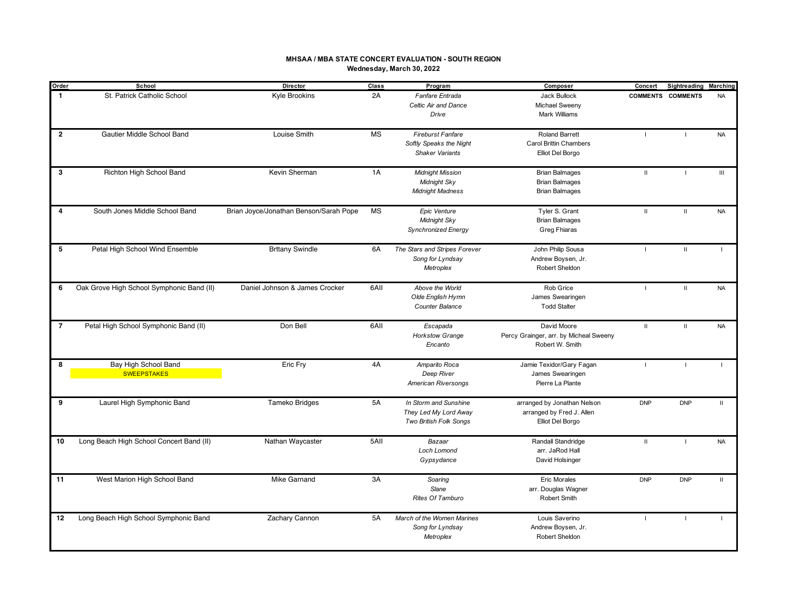### **MHSAA / MBA STATE CONCERT EVALUATION - SOUTH REGION Wednesday, March 30, 2022**

| Order          | School                                    | Director                               | <b>Class</b> | Program                       | Composer                               | Concert        | <b>Sightreading Marching</b> |              |
|----------------|-------------------------------------------|----------------------------------------|--------------|-------------------------------|----------------------------------------|----------------|------------------------------|--------------|
| $\mathbf{1}$   | St. Patrick Catholic School               | Kyle Brookins                          | 2A           | Fanfare Entrada               | Jack Bullock                           |                | <b>COMMENTS COMMENTS</b>     | <b>NA</b>    |
|                |                                           |                                        |              | Celtic Air and Dance          | Michael Sweeny                         |                |                              |              |
|                |                                           |                                        |              | Drive                         | Mark Williams                          |                |                              |              |
| $\overline{2}$ | Gautier Middle School Band                | Louise Smith                           | <b>MS</b>    | <b>Fireburst Fanfare</b>      | Roland Barrett                         | $\blacksquare$ | $\overline{1}$               | <b>NA</b>    |
|                |                                           |                                        |              | Softly Speaks the Night       | <b>Carol Brittin Chambers</b>          |                |                              |              |
|                |                                           |                                        |              | <b>Shaker Variants</b>        | Elliot Del Borgo                       |                |                              |              |
| 3              | Richton High School Band                  | Kevin Sherman                          | 1A           | <b>Midnight Mission</b>       | <b>Brian Balmages</b>                  | $\mathbf{H}$   |                              | III          |
|                |                                           |                                        |              | Midnight Sky                  | <b>Brian Balmages</b>                  |                |                              |              |
|                |                                           |                                        |              | <b>Midnight Madness</b>       | <b>Brian Balmages</b>                  |                |                              |              |
| 4              | South Jones Middle School Band            | Brian Joyce/Jonathan Benson/Sarah Pope | <b>MS</b>    | Epic Venture                  | Tyler S. Grant                         | $\mathbf{H}$   | $\mathbf{II}$                | <b>NA</b>    |
|                |                                           |                                        |              | Midnight Sky                  | <b>Brian Balmages</b>                  |                |                              |              |
|                |                                           |                                        |              | <b>Synchronized Energy</b>    | Greg Fhiaras                           |                |                              |              |
| 5              | Petal High School Wind Ensemble           | <b>Brttany Swindle</b>                 | 6A           | The Stars and Stripes Forever | John Philip Sousa                      |                | $\mathbf{II}$                |              |
|                |                                           |                                        |              | Song for Lyndsay              | Andrew Boysen, Jr.                     |                |                              |              |
|                |                                           |                                        |              | Metroplex                     | Robert Sheldon                         |                |                              |              |
| 6              | Oak Grove High School Symphonic Band (II) | Daniel Johnson & James Crocker         | 6AII         | Above the World               | Rob Grice                              | п.             | $\mathbf{H}$                 | <b>NA</b>    |
|                |                                           |                                        |              | Olde English Hymn             | James Swearingen                       |                |                              |              |
|                |                                           |                                        |              | Counter Balance               | <b>Todd Stalter</b>                    |                |                              |              |
| $\overline{7}$ | Petal High School Symphonic Band (II)     | Don Bell                               | 6AII         | Escapada                      | David Moore                            | $\mathbf{H}$   | $\mathbf{II}$                | <b>NA</b>    |
|                |                                           |                                        |              | <b>Horkstow Grange</b>        | Percy Grainger, arr. by Micheal Sweeny |                |                              |              |
|                |                                           |                                        |              | Encanto                       | Robert W. Smith                        |                |                              |              |
| 8              | Bay High School Band                      | Eric Fry                               | 4A           | Amparito Roca                 | Jamie Texidor/Gary Fagan               | $\blacksquare$ | $\blacksquare$               | $\mathbf{I}$ |
|                | <b>SWEEPSTAKES</b>                        |                                        |              | Deep River                    | James Swearingen                       |                |                              |              |
|                |                                           |                                        |              | <b>American Riversongs</b>    | Pierre La Plante                       |                |                              |              |
| 9              | Laurel High Symphonic Band                | Tameko Bridges                         | <b>5A</b>    | In Storm and Sunshine         | arranged by Jonathan Nelson            | <b>DNP</b>     | <b>DNP</b>                   | $\mathbf{H}$ |
|                |                                           |                                        |              | They Led My Lord Away         | arranged by Fred J. Allen              |                |                              |              |
|                |                                           |                                        |              | Two British Folk Songs        | Elliot Del Borgo                       |                |                              |              |
| 10             | Long Beach High School Concert Band (II)  | Nathan Waycaster                       | 5AII         | Bazaar                        | Randall Standridge                     | $\mathbf{II}$  | $\blacksquare$               | <b>NA</b>    |
|                |                                           |                                        |              | Loch Lomond                   | arr. JaRod Hall                        |                |                              |              |
|                |                                           |                                        |              | Gypsydance                    | David Holsinger                        |                |                              |              |
| 11             | West Marion High School Band              | Mike Garnand                           | 3A           | Soaring                       | Eric Morales                           | <b>DNP</b>     | <b>DNP</b>                   | $\mathbf H$  |
|                |                                           |                                        |              | Slane                         | arr. Douglas Wagner                    |                |                              |              |
|                |                                           |                                        |              | Rites Of Tamburo              | Robert Smith                           |                |                              |              |
| 12             | Long Beach High School Symphonic Band     | Zachary Cannon                         | 5A           | March of the Women Marines    | Louis Saverino                         |                |                              |              |
|                |                                           |                                        |              | Song for Lyndsay              | Andrew Boysen, Jr.                     |                |                              |              |
|                |                                           |                                        |              | Metroplex                     | <b>Robert Sheldon</b>                  |                |                              |              |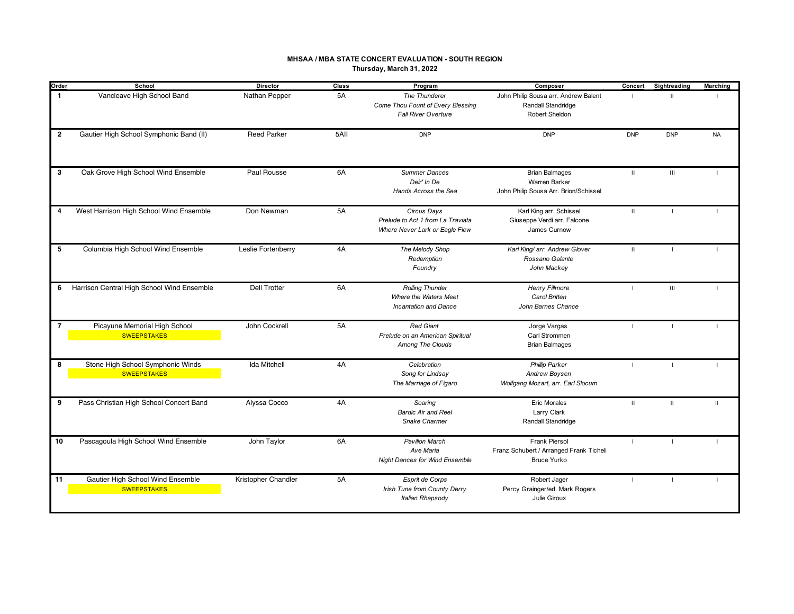#### **MHSAA / MBA STATE CONCERT EVALUATION - SOUTH REGION Thursday, March 31, 2022**

| Order          | School                                                  | Director            | Class | Program                                                                            | Composer                                                                        | Concert        | Sightreading       | <b>Marching</b> |
|----------------|---------------------------------------------------------|---------------------|-------|------------------------------------------------------------------------------------|---------------------------------------------------------------------------------|----------------|--------------------|-----------------|
| $\mathbf{1}$   | Vancleave High School Band                              | Nathan Pepper       | 5A    | The Thunderer<br>Come Thou Fount of Every Blessing<br><b>Fall River Overture</b>   | John Philip Sousa arr. Andrew Balent<br>Randall Standridge<br>Robert Sheldon    | - 11           | $\mathbf{H}$       |                 |
| $\overline{2}$ | Gautier High School Symphonic Band (II)                 | <b>Reed Parker</b>  | 5AII  | <b>DNP</b>                                                                         | <b>DNP</b>                                                                      | <b>DNP</b>     | <b>DNP</b>         | <b>NA</b>       |
| $\mathbf 3$    | Oak Grove High School Wind Ensemble                     | Paul Rousse         | 6A    | <b>Summer Dances</b><br>Deir' In De<br>Hands Across the Sea                        | <b>Brian Balmages</b><br>Warren Barker<br>John Philip Sousa Arr. Brion/Schissel | $\mathbf{H}$   | $\mathop{\rm III}$ | $\mathbf{L}$    |
| 4              | West Harrison High School Wind Ensemble                 | Don Newman          | 5A    | Circus Days<br>Prelude to Act 1 from La Traviata<br>Where Never Lark or Eagle Flew | Karl King arr. Schissel<br>Giuseppe Verdi arr. Falcone<br>James Curnow          | $\mathbf{H}$   | $\blacksquare$     | $\blacksquare$  |
| 5              | Columbia High School Wind Ensemble                      | Leslie Fortenberry  | 4A    | The Melody Shop<br>Redemption<br>Foundry                                           | Karl King/ arr. Andrew Glover<br>Rossano Galante<br>John Mackey                 | $\mathbf{H}$   |                    |                 |
| 6              | Harrison Central High School Wind Ensemble              | <b>Dell Trotter</b> | 6A    | <b>Rolling Thunder</b><br>Where the Waters Meet<br><b>Incantation and Dance</b>    | <b>Henry Fillmore</b><br>Carol Britten<br>John Barnes Chance                    | $\blacksquare$ | III                | $\blacksquare$  |
| $\overline{7}$ | Picayune Memorial High School<br><b>SWEEPSTAKES</b>     | John Cockrell       | 5A    | <b>Red Giant</b><br>Prelude on an American Spiritual<br>Among The Clouds           | Jorge Vargas<br>Carl Strommen<br><b>Brian Balmages</b>                          | $\blacksquare$ | $\mathbf{I}$       | $\blacksquare$  |
| 8              | Stone High School Symphonic Winds<br><b>SWEEPSTAKES</b> | <b>Ida Mitchell</b> | 4A    | Celebration<br>Song for Lindsay<br>The Marriage of Figaro                          | <b>Phillip Parker</b><br>Andrew Boysen<br>Wolfgang Mozart, arr. Earl Slocum     |                |                    |                 |
| 9              | Pass Christian High School Concert Band                 | Alyssa Cocco        | 4A    | Soaring<br><b>Bardic Air and Reel</b><br>Snake Charmer                             | <b>Eric Morales</b><br>Larry Clark<br>Randall Standridge                        | $\mathbf{H}$   | $\mathbf{H}$       | $\mathbf{H}$    |
| 10             | Pascagoula High School Wind Ensemble                    | John Taylor         | 6A    | <b>Pavilion March</b><br>Ave Maria<br><b>Night Dances for Wind Ensemble</b>        | Frank Piersol<br>Franz Schubert / Arranged Frank Ticheli<br><b>Bruce Yurko</b>  | п.             | $\blacksquare$     | $\blacksquare$  |
| 11             | Gautier High School Wind Ensemble<br><b>SWEEPSTAKES</b> | Kristopher Chandler | 5A    | Esprit de Corps<br>Irish Tune from County Derry<br>Italian Rhapsody                | Robert Jager<br>Percy Grainger/ed. Mark Rogers<br>Julie Giroux                  | $\mathbf{I}$   |                    | $\blacksquare$  |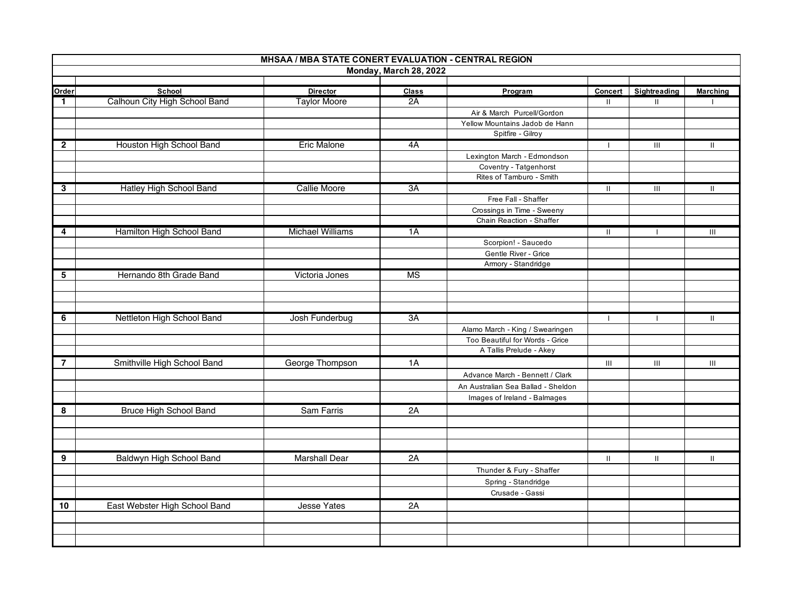|                | MHSAA / MBA STATE CONERT EVALUATION - CENTRAL REGION |                         |                        |                                                                    |              |                |                 |  |  |
|----------------|------------------------------------------------------|-------------------------|------------------------|--------------------------------------------------------------------|--------------|----------------|-----------------|--|--|
|                |                                                      |                         | Monday, March 28, 2022 |                                                                    |              |                |                 |  |  |
|                |                                                      |                         |                        |                                                                    |              |                |                 |  |  |
| Order          | School                                               | <b>Director</b>         | <b>Class</b>           | Program                                                            | Concert      | Sightreading   | <b>Marching</b> |  |  |
| $\mathbf{1}$   | Calhoun City High School Band                        | <b>Taylor Moore</b>     | 2A                     |                                                                    | Ш            | Ш              |                 |  |  |
|                |                                                      |                         |                        | Air & March Purcell/Gordon<br>Yellow Mountains Jadob de Hann       |              |                |                 |  |  |
|                |                                                      |                         |                        | Spitfire - Gilroy                                                  |              |                |                 |  |  |
| $\mathbf{2}$   | Houston High School Band                             | Eric Malone             | 4A                     |                                                                    |              | Ш              | Ш               |  |  |
|                |                                                      |                         |                        | Lexington March - Edmondson                                        |              |                |                 |  |  |
|                |                                                      |                         |                        | Coventry - Tatgenhorst                                             |              |                |                 |  |  |
|                |                                                      |                         |                        | Rites of Tamburo - Smith                                           |              |                |                 |  |  |
| 3              | <b>Hatley High School Band</b>                       | <b>Callie Moore</b>     | 3A                     |                                                                    | Ш            | $\mathbf{III}$ | Ш               |  |  |
|                |                                                      |                         |                        | Free Fall - Shaffer                                                |              |                |                 |  |  |
|                |                                                      |                         |                        | Crossings in Time - Sweeny                                         |              |                |                 |  |  |
|                |                                                      |                         |                        | Chain Reaction - Shaffer                                           |              |                |                 |  |  |
| 4              | Hamilton High School Band                            | <b>Michael Williams</b> | 1A                     |                                                                    | Ш.           | $\mathbf{I}$   | Ш               |  |  |
|                |                                                      |                         |                        | Scorpion! - Saucedo                                                |              |                |                 |  |  |
|                |                                                      |                         |                        | Gentle River - Grice                                               |              |                |                 |  |  |
|                |                                                      |                         |                        | Armory - Standridge                                                |              |                |                 |  |  |
| 5              | Hernando 8th Grade Band                              | Victoria Jones          | $\overline{\text{MS}}$ |                                                                    |              |                |                 |  |  |
|                |                                                      |                         |                        |                                                                    |              |                |                 |  |  |
|                |                                                      |                         |                        |                                                                    |              |                |                 |  |  |
|                |                                                      |                         | 3A                     |                                                                    |              |                |                 |  |  |
| 6              | Nettleton High School Band                           | Josh Funderbug          |                        |                                                                    | $\mathbf{I}$ | $\mathbf{I}$   | Ш               |  |  |
|                |                                                      |                         |                        | Alamo March - King / Swearingen<br>Too Beautiful for Words - Grice |              |                |                 |  |  |
|                |                                                      |                         |                        | A Tallis Prelude - Akey                                            |              |                |                 |  |  |
| $\overline{7}$ | Smithville High School Band                          | George Thompson         | 1A                     |                                                                    | Ш            | $\mathbf{III}$ | Ш               |  |  |
|                |                                                      |                         |                        |                                                                    |              |                |                 |  |  |
|                |                                                      |                         |                        | Advance March - Bennett / Clark                                    |              |                |                 |  |  |
|                |                                                      |                         |                        | An Australian Sea Ballad - Sheldon                                 |              |                |                 |  |  |
|                |                                                      |                         |                        | Images of Ireland - Balmages                                       |              |                |                 |  |  |
| 8              | Bruce High School Band                               | <b>Sam Farris</b>       | 2A                     |                                                                    |              |                |                 |  |  |
|                |                                                      |                         |                        |                                                                    |              |                |                 |  |  |
|                |                                                      |                         |                        |                                                                    |              |                |                 |  |  |
|                |                                                      |                         |                        |                                                                    |              |                |                 |  |  |
| 9              | Baldwyn High School Band                             | <b>Marshall Dear</b>    | 2A                     |                                                                    | Ш.           | $\mathbf{H}$   | Ш               |  |  |
|                |                                                      |                         |                        | Thunder & Fury - Shaffer                                           |              |                |                 |  |  |
|                |                                                      |                         |                        | Spring - Standridge                                                |              |                |                 |  |  |
|                |                                                      |                         |                        | Crusade - Gassi                                                    |              |                |                 |  |  |
| 10             | East Webster High School Band                        | <b>Jesse Yates</b>      | 2A                     |                                                                    |              |                |                 |  |  |
|                |                                                      |                         |                        |                                                                    |              |                |                 |  |  |
|                |                                                      |                         |                        |                                                                    |              |                |                 |  |  |
|                |                                                      |                         |                        |                                                                    |              |                |                 |  |  |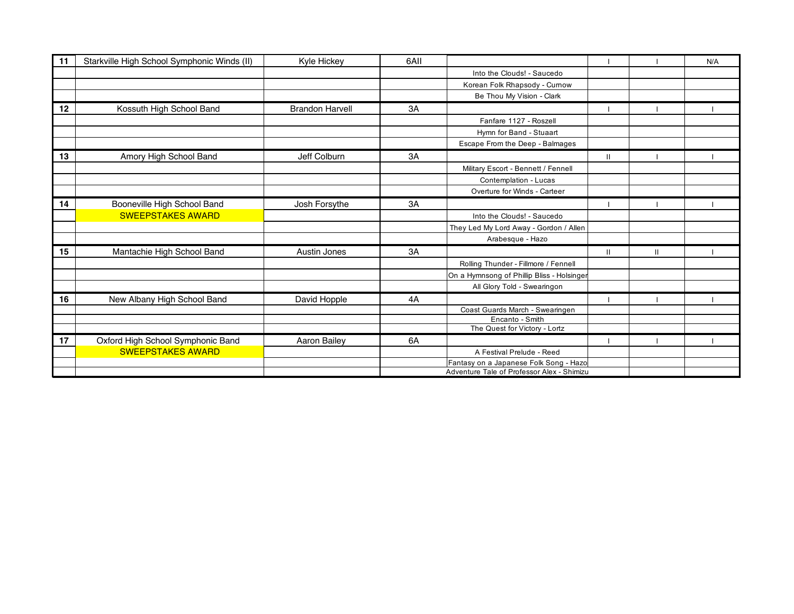| 11 | Starkville High School Symphonic Winds (II) | Kyle Hickey            | 6AII |                                            |              |              | N/A |
|----|---------------------------------------------|------------------------|------|--------------------------------------------|--------------|--------------|-----|
|    |                                             |                        |      | Into the Clouds! - Saucedo                 |              |              |     |
|    |                                             |                        |      | Korean Folk Rhapsody - Curnow              |              |              |     |
|    |                                             |                        |      | Be Thou My Vision - Clark                  |              |              |     |
| 12 | Kossuth High School Band                    | <b>Brandon Harvell</b> | 3A   |                                            |              |              |     |
|    |                                             |                        |      | Fanfare 1127 - Roszell                     |              |              |     |
|    |                                             |                        |      | Hymn for Band - Stuaart                    |              |              |     |
|    |                                             |                        |      | Escape From the Deep - Balmages            |              |              |     |
| 13 | Amory High School Band                      | Jeff Colburn           | 3A   |                                            | $\mathbf{H}$ |              |     |
|    |                                             |                        |      | Military Escort - Bennett / Fennell        |              |              |     |
|    |                                             |                        |      | Contemplation - Lucas                      |              |              |     |
|    |                                             |                        |      | Overture for Winds - Carteer               |              |              |     |
| 14 | Booneville High School Band                 | Josh Forsythe          | 3A   |                                            |              |              |     |
|    | <b>SWEEPSTAKES AWARD</b>                    |                        |      | Into the Clouds! - Saucedo                 |              |              |     |
|    |                                             |                        |      | They Led My Lord Away - Gordon / Allen     |              |              |     |
|    |                                             |                        |      | Arabesque - Hazo                           |              |              |     |
| 15 | Mantachie High School Band                  | Austin Jones           | 3A   |                                            | $\mathbf{H}$ | $\mathbf{H}$ |     |
|    |                                             |                        |      | Rolling Thunder - Fillmore / Fennell       |              |              |     |
|    |                                             |                        |      | On a Hymnsong of Phillip Bliss - Holsinger |              |              |     |
|    |                                             |                        |      | All Glory Told - Swearingon                |              |              |     |
| 16 | New Albany High School Band                 | David Hopple           | 4A   |                                            |              |              |     |
|    |                                             |                        |      | Coast Guards March - Swearingen            |              |              |     |
|    |                                             |                        |      | Encanto - Smith                            |              |              |     |
|    |                                             |                        |      | The Quest for Victory - Lortz              |              |              |     |
| 17 | Oxford High School Symphonic Band           | Aaron Bailey           | 6A   |                                            |              |              |     |
|    | <b>SWEEPSTAKES AWARD</b>                    |                        |      | A Festival Prelude - Reed                  |              |              |     |
|    |                                             |                        |      | Fantasy on a Japanese Folk Song - Hazo     |              |              |     |
|    |                                             |                        |      | Adventure Tale of Professor Alex - Shimizu |              |              |     |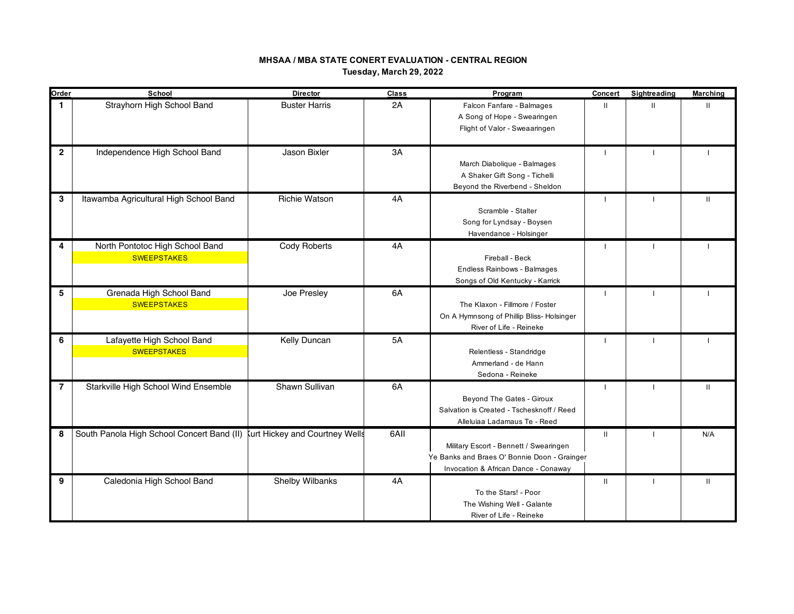# **MHSAA / MBA STATE CONERT EVALUATION - CENTRAL REGION Tuesday, March 29, 2022**

| Order          | School                                                                    | <b>Director</b>        | <b>Class</b> | Program                                                                                                                        | <b>Concert</b>           | Sightreading | <b>Marching</b> |
|----------------|---------------------------------------------------------------------------|------------------------|--------------|--------------------------------------------------------------------------------------------------------------------------------|--------------------------|--------------|-----------------|
| 1.             | Strayhorn High School Band                                                | <b>Buster Harris</b>   | 2A           | Falcon Fanfare - Balmages<br>A Song of Hope - Swearingen<br>Flight of Valor - Sweaaringen                                      | $\mathbf{H}$             | $\mathbf{H}$ | $\mathbf{H}$    |
| $\overline{2}$ | Independence High School Band                                             | Jason Bixler           | 3A           | March Diabolique - Balmages<br>A Shaker Gift Song - Tichelli<br>Beyond the Riverbend - Sheldon                                 | J.                       | -1           |                 |
| 3              | Itawamba Agricultural High School Band                                    | Richie Watson          | 4A           | Scramble - Stalter<br>Song for Lyndsay - Boysen<br>Havendance - Holsinger                                                      | J.                       | $\mathbf{I}$ | $\mathbf{H}$    |
| 4              | North Pontotoc High School Band<br><b>SWEEPSTAKES</b>                     | Cody Roberts           | 4A           | Fireball - Beck<br>Endless Rainbows - Balmages<br>Songs of Old Kentucky - Karrick                                              | $\overline{\phantom{a}}$ | $\mathbf{I}$ |                 |
| 5              | Grenada High School Band<br><b>SWEEPSTAKES</b>                            | Joe Presley            | 6A           | The Klaxon - Fillmore / Foster<br>On A Hymnsong of Phillip Bliss- Holsinger<br>River of Life - Reineke                         | $\overline{\phantom{a}}$ | $\mathbf{I}$ |                 |
| 6              | Lafayette High School Band<br><b>SWEEPSTAKES</b>                          | Kelly Duncan           | 5A           | Relentless - Standridge<br>Ammerland - de Hann<br>Sedona - Reineke                                                             | $\overline{\phantom{a}}$ | $\mathbf{I}$ |                 |
| 7              | Starkville High School Wind Ensemble                                      | Shawn Sullivan         | 6A           | Beyond The Gates - Giroux<br>Salvation is Created - Tschesknoff / Reed<br>Alleluiaa Ladamaus Te - Reed                         | $\mathbf{I}$             | $\mathbf{I}$ | $\mathbf{H}$    |
| 8              | South Panola High School Concert Band (II) kurt Hickey and Courtney Wells |                        | 6AII         | Military Escort - Bennett / Swearingen<br>Ye Banks and Braes O' Bonnie Doon - Grainger<br>Invocation & African Dance - Conaway | Ш                        |              | N/A             |
| 9              | Caledonia High School Band                                                | <b>Shelby Wilbanks</b> | 4A           | To the Stars! - Poor<br>The Wishing Well - Galante<br>River of Life - Reineke                                                  | Ш                        | $\mathbf{I}$ | $\mathbf{H}$    |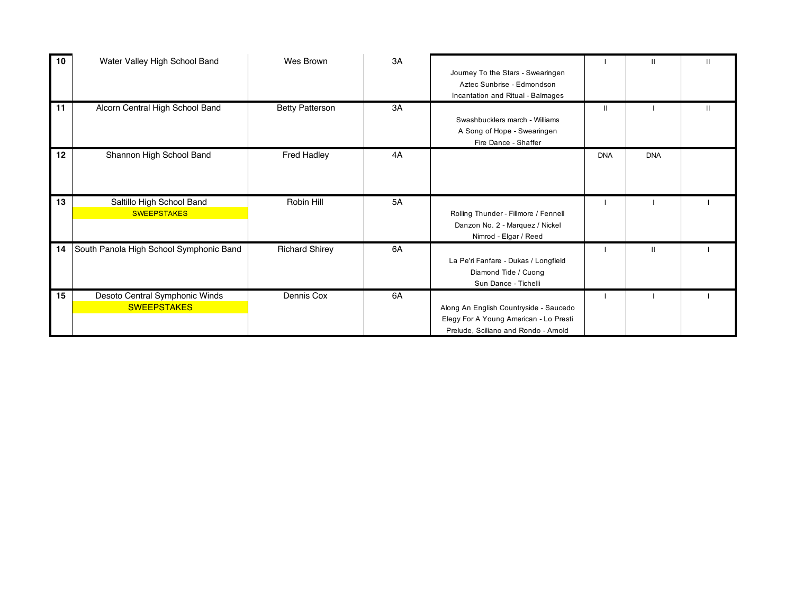| 10 | Water Valley High School Band           | Wes Brown              | 3A |                                        |            | $\mathbf{H}$ | $\mathbf{H}$ |
|----|-----------------------------------------|------------------------|----|----------------------------------------|------------|--------------|--------------|
|    |                                         |                        |    | Journey To the Stars - Swearingen      |            |              |              |
|    |                                         |                        |    | Aztec Sunbrise - Edmondson             |            |              |              |
|    |                                         |                        |    | Incantation and Ritual - Balmages      |            |              |              |
| 11 | Alcorn Central High School Band         | <b>Betty Patterson</b> | 3A |                                        | Ш          |              | Ш            |
|    |                                         |                        |    | Swashbucklers march - Williams         |            |              |              |
|    |                                         |                        |    | A Song of Hope - Swearingen            |            |              |              |
|    |                                         |                        |    | Fire Dance - Shaffer                   |            |              |              |
| 12 | Shannon High School Band                | <b>Fred Hadley</b>     | 4A |                                        | <b>DNA</b> | <b>DNA</b>   |              |
|    |                                         |                        |    |                                        |            |              |              |
|    |                                         |                        |    |                                        |            |              |              |
|    |                                         |                        |    |                                        |            |              |              |
| 13 | Saltillo High School Band               | Robin Hill             | 5A |                                        |            |              |              |
|    | <b>SWEEPSTAKES</b>                      |                        |    | Rolling Thunder - Fillmore / Fennell   |            |              |              |
|    |                                         |                        |    | Danzon No. 2 - Marquez / Nickel        |            |              |              |
|    |                                         |                        |    | Nimrod - Elgar / Reed                  |            |              |              |
| 14 | South Panola High School Symphonic Band | <b>Richard Shirey</b>  | 6A |                                        |            | $\mathbf{H}$ |              |
|    |                                         |                        |    | La Pe'ri Fanfare - Dukas / Longfield   |            |              |              |
|    |                                         |                        |    | Diamond Tide / Cuong                   |            |              |              |
|    |                                         |                        |    | Sun Dance - Tichelli                   |            |              |              |
| 15 | Desoto Central Symphonic Winds          | Dennis Cox             | 6A |                                        |            |              |              |
|    | <b>SWEEPSTAKES</b>                      |                        |    | Along An English Countryside - Saucedo |            |              |              |
|    |                                         |                        |    | Elegy For A Young American - Lo Presti |            |              |              |
|    |                                         |                        |    | Prelude, Sciliano and Rondo - Arnold   |            |              |              |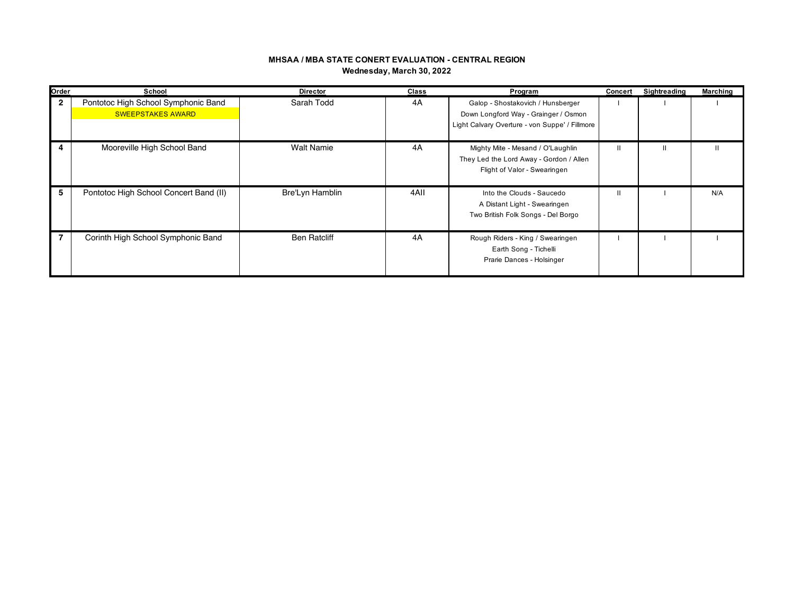## **MHSAA / MBA STATE CONERT EVALUATION - CENTRAL REGION Wednesday, March 30, 2022**

| Order          | School                                                          | <b>Director</b>     | Class | Program                                                                                                                     | Concert | Sightreading | Marching |
|----------------|-----------------------------------------------------------------|---------------------|-------|-----------------------------------------------------------------------------------------------------------------------------|---------|--------------|----------|
| $\overline{2}$ | Pontotoc High School Symphonic Band<br><b>SWEEPSTAKES AWARD</b> | Sarah Todd          | 4A    | Galop - Shostakovich / Hunsberger<br>Down Longford Way - Grainger / Osmon<br>Light Calvary Overture - von Suppe' / Fillmore |         |              |          |
| 4              | Mooreville High School Band                                     | <b>Walt Namie</b>   | 4A    | Mighty Mite - Mesand / O'Laughlin<br>They Led the Lord Away - Gordon / Allen<br>Flight of Valor - Swearingen                |         | Ш            |          |
| 5              | Pontotoc High School Concert Band (II)                          | Bre'Lyn Hamblin     | 4AII  | Into the Clouds - Saucedo<br>A Distant Light - Swearingen<br>Two British Folk Songs - Del Borgo                             |         |              | N/A      |
| 7              | Corinth High School Symphonic Band                              | <b>Ben Ratcliff</b> | 4A    | Rough Riders - King / Swearingen<br>Earth Song - Tichelli<br>Prarie Dances - Holsinger                                      |         |              |          |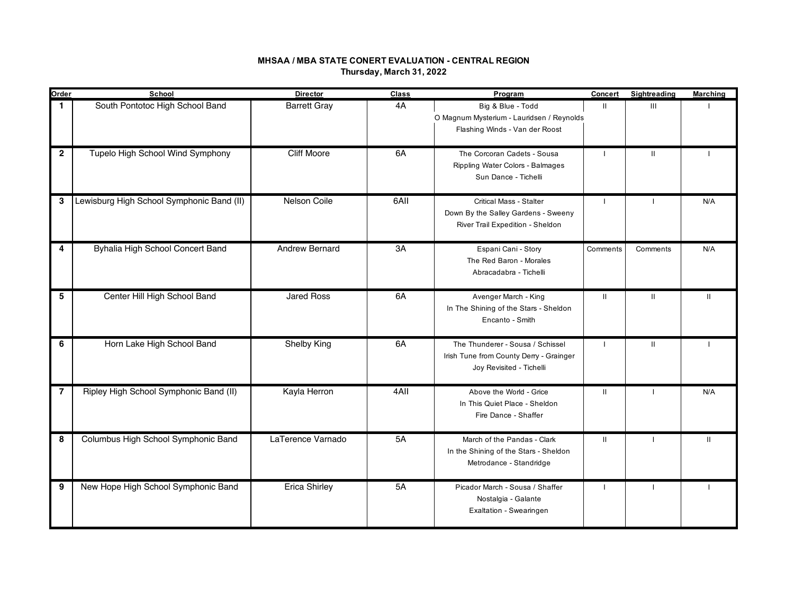# **MHSAA / MBA STATE CONERT EVALUATION - CENTRAL REGION Thursday, March 31, 2022**

| Order          | School                                    | <b>Director</b>     | Class | Program                                                                                                   | Concert        | Sightreading   | Marching      |
|----------------|-------------------------------------------|---------------------|-------|-----------------------------------------------------------------------------------------------------------|----------------|----------------|---------------|
| $\mathbf{1}$   | South Pontotoc High School Band           | <b>Barrett Gray</b> | 4A    | Big & Blue - Todd<br>O Magnum Mysterium - Lauridsen / Reynolds<br>Flashing Winds - Van der Roost          | $\mathbf{H}$   | $\mathbf{III}$ |               |
| $\overline{2}$ | Tupelo High School Wind Symphony          | <b>Cliff Moore</b>  | 6A    | The Corcoran Cadets - Sousa<br>Rippling Water Colors - Balmages<br>Sun Dance - Tichelli                   |                | $\mathbf{H}$   |               |
| 3              | Lewisburg High School Symphonic Band (II) | Nelson Coile        | 6AII  | <b>Critical Mass - Stalter</b><br>Down By the Salley Gardens - Sweeny<br>River Trail Expedition - Sheldon | $\mathbf{I}$   |                | N/A           |
| 4              | Byhalia High School Concert Band          | Andrew Bernard      | 3A    | Espani Cani - Story<br>The Red Baron - Morales<br>Abracadabra - Tichelli                                  | Comments       | Comments       | N/A           |
| 5              | Center Hill High School Band              | <b>Jared Ross</b>   | 6A    | Avenger March - King<br>In The Shining of the Stars - Sheldon<br>Encanto - Smith                          | $\mathbf{II}$  | $\mathbf{II}$  | $\mathbf{H}$  |
| 6              | Horn Lake High School Band                | Shelby King         | 6A    | The Thunderer - Sousa / Schissel<br>Irish Tune from County Derry - Grainger<br>Joy Revisited - Tichelli   | $\mathbf{I}$   | $\mathbf{H}$   | -1            |
| $\overline{7}$ | Ripley High School Symphonic Band (II)    | Kayla Herron        | 4AII  | Above the World - Grice<br>In This Quiet Place - Sheldon<br>Fire Dance - Shaffer                          | Ш.             | $\mathbf{I}$   | N/A           |
| 8              | Columbus High School Symphonic Band       | LaTerence Varnado   | 5A    | March of the Pandas - Clark<br>In the Shining of the Stars - Sheldon<br>Metrodance - Standridge           | Ш.             | $\mathbf{I}$   | $\mathbf{II}$ |
| 9              | New Hope High School Symphonic Band       | Erica Shirley       | 5A    | Picador March - Sousa / Shaffer<br>Nostalgia - Galante<br>Exaltation - Swearingen                         | $\overline{1}$ |                |               |